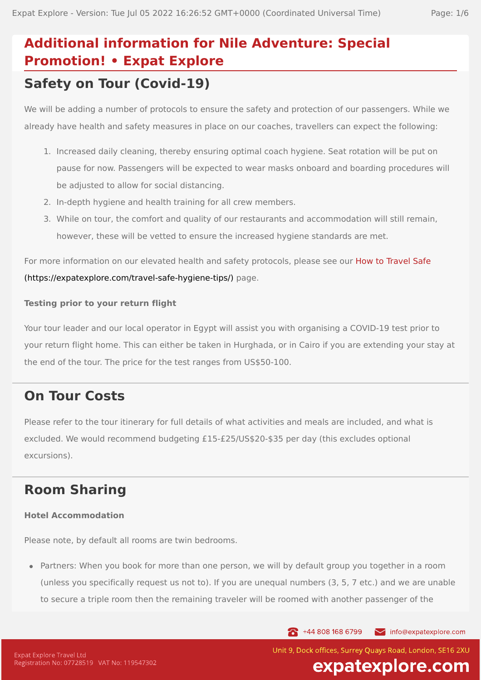# **Additional information for Nile Adventure: Special Promotion! • Expat Explore Safety on Tour (Covid-19)**

We will be adding a number of protocols to ensure the safety and protection of our passengers. While we already have health and safety measures in place on our coaches, travellers can expect the following:

- 1. Increased daily cleaning, thereby ensuring optimal coach hygiene. Seat rotation will be put on pause for now. Passengers will be expected to wear masks onboard and boarding procedures will be adjusted to allow for social distancing.
- 2. In-depth hygiene and health training for all crew members.
- 3. While on tour, the comfort and quality of our restaurants and accommodation will still remain, however, these will be vetted to ensure the increased hygiene standards are met.

For more information on our elevated health and safety protocols, please see our How to Travel Safe [\(https://expatexplore.com/travel-safe-hygiene-tips/\)](https://expatexplore.com/travel-safe-hygiene-tips/) page.

#### **Testing prior to your return flight**

Your tour leader and our local operator in Egypt will assist you with organising a COVID-19 test prior to your return flight home. This can either be taken in Hurghada, or in Cairo if you are extending your stay at the end of the tour. The price for the test ranges from US\$50-100.

## **On Tour Costs**

Please refer to the tour itinerary for full details of what activities and meals are included, and what is excluded. We would recommend budgeting £15-£25/US\$20-\$35 per day (this excludes optional excursions).

## **Room Sharing**

#### **Hotel Accommodation**

Please note, by default all rooms are twin bedrooms.

Partners: When you book for more than one person, we will by default group you together in a room (unless you specifically request us not to). If you are unequal numbers (3, 5, 7 etc.) and we are unable to secure a triple room then the remaining traveler will be roomed with another passenger of the

144 808 168 6799

info@expatexplore.com

Unit 9, Dock offices, Surrey Ouays Road, London, SE16 2XU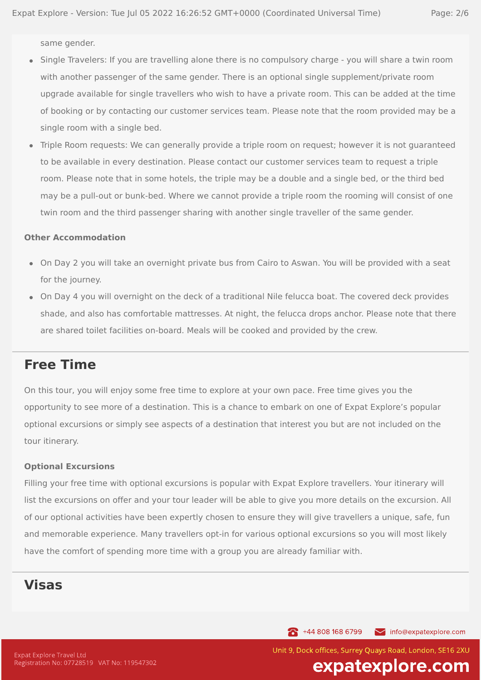same gender.

- Single Travelers: If you are travelling alone there is no compulsory charge you will share a twin room with another passenger of the same gender. There is an optional single supplement/private room upgrade available for single travellers who wish to have a private room. This can be added at the time of booking or by contacting our customer services team. Please note that the room provided may be a single room with a single bed.
- Triple Room requests: We can generally provide a triple room on request; however it is not guaranteed  $\bullet$ to be available in every destination. Please contact our customer services team to request a triple room. Please note that in some hotels, the triple may be a double and a single bed, or the third bed may be a pull-out or bunk-bed. Where we cannot provide a triple room the rooming will consist of one twin room and the third passenger sharing with another single traveller of the same gender.

#### **Other Accommodation**

- On Day 2 you will take an overnight private bus from Cairo to Aswan. You will be provided with a seat for the journey.
- On Day 4 you will overnight on the deck of a traditional Nile felucca boat. The covered deck provides shade, and also has comfortable mattresses. At night, the felucca drops anchor. Please note that there are shared toilet facilities on-board. Meals will be cooked and provided by the crew.

### **Free Time**

On this tour, you will enjoy some free time to explore at your own pace. Free time gives you the opportunity to see more of a destination. This is a chance to embark on one of Expat Explore's popular optional excursions or simply see aspects of a destination that interest you but are not included on the tour itinerary.

#### **Optional Excursions**

Filling your free time with optional excursions is popular with Expat Explore travellers. Your itinerary will list the excursions on offer and your tour leader will be able to give you more details on the excursion. All of our optional activities have been expertly chosen to ensure they will give travellers a unique, safe, fun and memorable experience. Many travellers opt-in for various optional excursions so you will most likely have the comfort of spending more time with a group you are already familiar with.

### **Visas**

144 808 168 6799 info@expatexplore.com

Unit 9, Dock offices, Surrey Ouays Road, London, SE16 2XU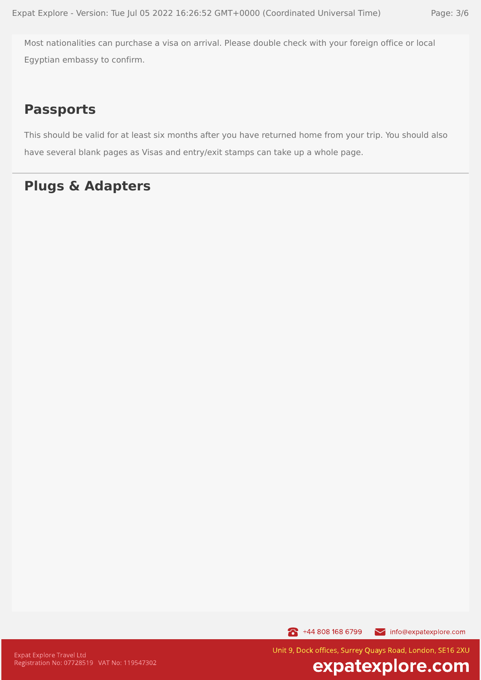Most nationalities can purchase a visa on arrival. Please double check with your foreign office or local Egyptian embassy to confirm.

### **Passports**

This should be valid for at least six months after you have returned home from your trip. You should also have several blank pages as Visas and entry/exit stamps can take up a whole page.

### **Plugs & Adapters**

144 808 168 6799 info@expatexplore.com

Unit 9, Dock offices, Surrey Quays Road, London, SE16 2XU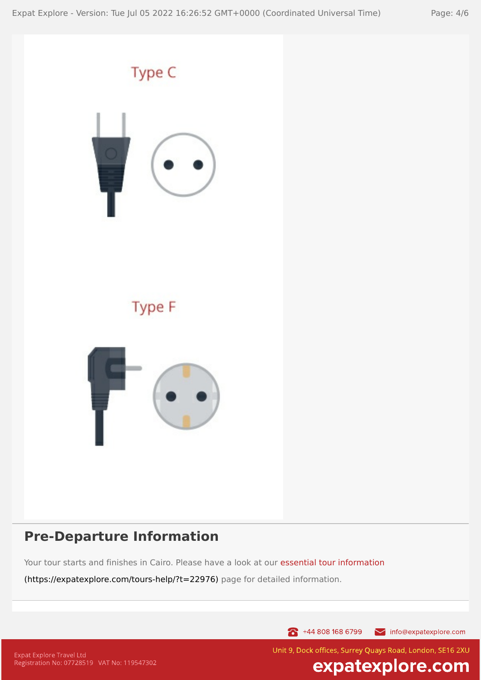

### **Pre-Departure Information**

Your tour starts and finishes in Cairo. Please have a look at our essential tour information

[\(https://expatexplore.com/tours-help/?t=22976\)](https://expatexplore.com/tours-help/?t=22976) page for detailed information.

144 808 168 6799 info@expatexplore.com

Unit 9, Dock offices, Surrey Quays Road, London, SE16 2XU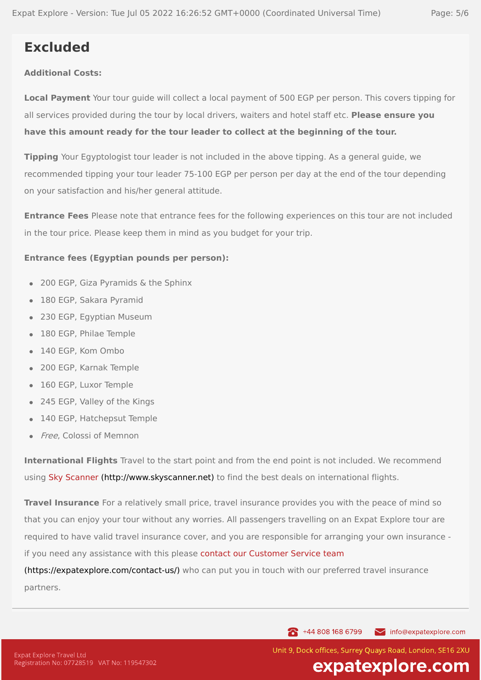## **Excluded**

### **Additional Costs:**

**Local Payment** Your tour guide will collect a local payment of 500 EGP per person. This covers tipping for all services provided during the tour by local drivers, waiters and hotel staff etc. **Please ensure you have this amount ready for the tour leader to collect at the beginning of the tour.**

**Tipping** Your Egyptologist tour leader is not included in the above tipping. As a general guide, we recommended tipping your tour leader 75-100 EGP per person per day at the end of the tour depending on your satisfaction and his/her general attitude.

**Entrance Fees** Please note that entrance fees for the following experiences on this tour are not included in the tour price. Please keep them in mind as you budget for your trip.

#### **Entrance fees (Egyptian pounds per person):**

- 200 EGP, Giza Pyramids & the Sphinx
- 180 EGP, Sakara Pyramid
- 230 EGP, Egyptian Museum
- 180 EGP, Philae Temple
- 140 EGP, Kom Ombo
- 200 EGP, Karnak Temple  $\bullet$
- 160 EGP, Luxor Temple
- 245 EGP, Valley of the Kings  $\bullet$
- 140 EGP, Hatchepsut Temple
- Free, Colossi of Memnon

**International Flights** Travel to the start point and from the end point is not included. We recommend using Sky Scanner [\(http://www.skyscanner.net\)](http://www.skyscanner.net/) to find the best deals on international flights.

**Travel Insurance** For a relatively small price, travel insurance provides you with the peace of mind so that you can enjoy your tour without any worries. All passengers travelling on an Expat Explore tour are required to have valid travel insurance cover, and you are responsible for arranging your own insurance if you need any assistance with this please contact our Customer Service team

[\(https://expatexplore.com/contact-us/\)](https://expatexplore.com/contact-us/) who can put you in touch with our preferred travel insurance partners.

> 144 808 168 6799 info@expatexplore.com

Unit 9, Dock offices, Surrey Ouays Road, London, SE16 2XU